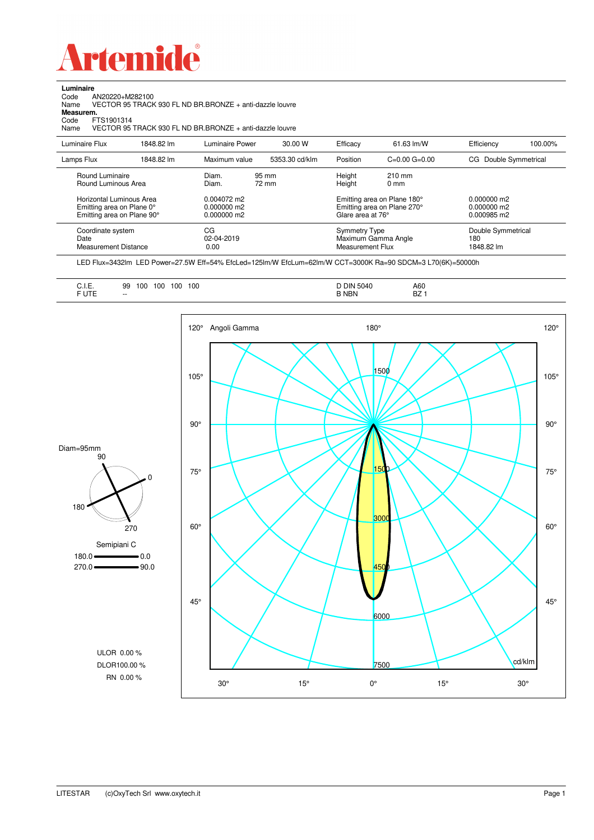

Code AN20220+M282100 Name VECTOR 95 TRACK 930 FL ND BR.BRONZE + anti-dazzle louvre

**Luminaire**<br>Code *A*<br>Name \

**Measurem.**

| <br>Code<br>FTS1901314<br>Name                                                                                                |            | VECTOR 95 TRACK 930 FL ND BR BRONZE + anti-dazzle louvre             |                |                                          |                                                                                           |                                           |         |
|-------------------------------------------------------------------------------------------------------------------------------|------------|----------------------------------------------------------------------|----------------|------------------------------------------|-------------------------------------------------------------------------------------------|-------------------------------------------|---------|
| Luminaire Flux                                                                                                                | 1848.82 lm | Luminaire Power                                                      | 30.00 W        | Efficacy                                 | 61.63 lm/W                                                                                | Efficiency                                | 100.00% |
| Lamps Flux                                                                                                                    | 1848.82 lm | Maximum value                                                        | 5353.30 cd/klm | Position                                 | $C=0.00$ $G=0.00$                                                                         | CG Double Symmetrical                     |         |
| Round Luminaire<br>Round Luminous Area<br>Horizontal Luminous Area<br>Emitting area on Plane 0°<br>Emitting area on Plane 90° |            | Diam.<br>Diam.<br>$0.004072 \text{ m}$<br>0.000000 m2<br>0.000000 m2 | 95 mm<br>72 mm | Height<br>Height<br>Glare area at 76°    | $210$ mm<br>0 <sub>mm</sub><br>Emitting area on Plane 180°<br>Emitting area on Plane 270° | 0.000000 m2<br>0.000000 m2<br>0.000985 m2 |         |
| Coordinate system<br>Date<br><b>Measurement Distance</b>                                                                      |            | CG<br>02-04-2019<br>0.00                                             |                | <b>Symmetry Type</b><br>Measurement Flux | Maximum Gamma Angle                                                                       | Double Symmetrical<br>180<br>1848.82 lm   |         |

LED Flux=3432lm LED Power=27.5W Eff=54% EfcLed=125lm/W EfcLum=62lm/W CCT=3000K Ra=90 SDCM=3 L70(6K)=50000h